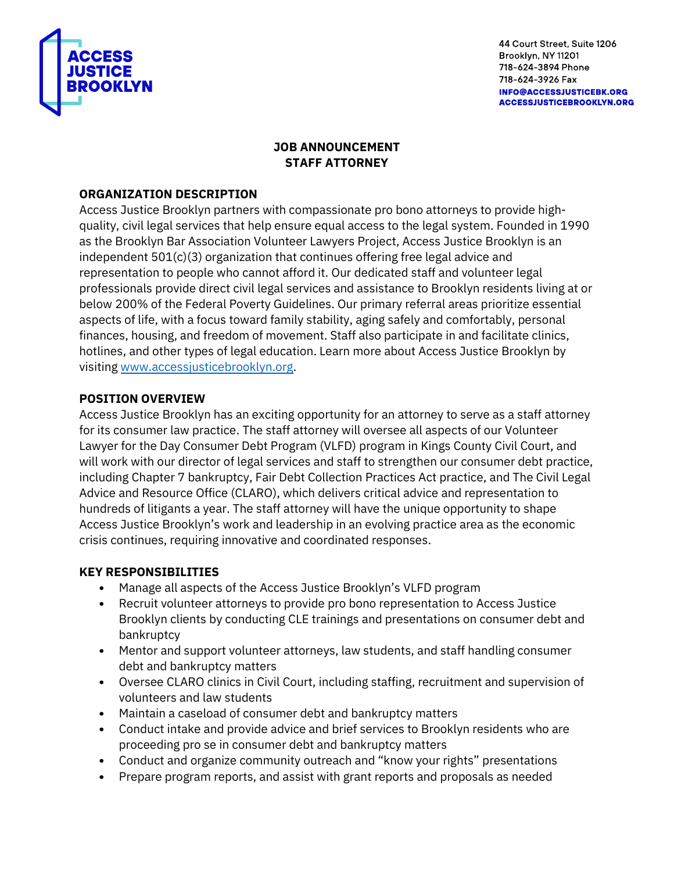

# **JOB ANNOUNCEMENT STAFF ATTORNEY**

### **ORGANIZATION DESCRIPTION**

Access Justice Brooklyn partners with compassionate pro bono attorneys to provide highquality, civil legal services that help ensure equal access to the legal system. Founded in 1990 as the Brooklyn Bar Association Volunteer Lawyers Project, Access Justice Brooklyn is an independent 501(c)(3) organization that continues offering free legal advice and representation to people who cannot afford it. Our dedicated staff and volunteer legal professionals provide direct civil legal services and assistance to Brooklyn residents living at or below 200% of the Federal Poverty Guidelines. Our primary referral areas prioritize essential aspects of life, with a focus toward family stability, aging safely and comfortably, personal finances, housing, and freedom of movement. Staff also participate in and facilitate clinics, hotlines, and other types of legal education. Learn more about Access Justice Brooklyn by visiting [www.accessjusticebrooklyn.org.](http://www.accessjusticebrooklyn.org/)

# **POSITION OVERVIEW**

Access Justice Brooklyn has an exciting opportunity for an attorney to serve as a staff attorney for its consumer law practice. The staff attorney will oversee all aspects of our Volunteer Lawyer for the Day Consumer Debt Program (VLFD) program in Kings County Civil Court, and will work with our director of legal services and staff to strengthen our consumer debt practice, including Chapter 7 bankruptcy, Fair Debt Collection Practices Act practice, and The Civil Legal Advice and Resource Office (CLARO), which delivers critical advice and representation to hundreds of litigants a year. The staff attorney will have the unique opportunity to shape Access Justice Brooklyn's work and leadership in an evolving practice area as the economic crisis continues, requiring innovative and coordinated responses.

### **KEY RESPONSIBILITIES**

- **•** Manage all aspects of the Access Justice Brooklyn's VLFD program
- **•** Recruit volunteer attorneys to provide pro bono representation to Access Justice Brooklyn clients by conducting CLE trainings and presentations on consumer debt and bankruptcy
- **•** Mentor and support volunteer attorneys, law students, and staff handling consumer debt and bankruptcy matters
- **•** Oversee CLARO clinics in Civil Court, including staffing, recruitment and supervision of volunteers and law students
- **•** Maintain a caseload of consumer debt and bankruptcy matters
- **•** Conduct intake and provide advice and brief services to Brooklyn residents who are proceeding pro se in consumer debt and bankruptcy matters
- **•** Conduct and organize community outreach and "know your rights" presentations
- **•** Prepare program reports, and assist with grant reports and proposals as needed